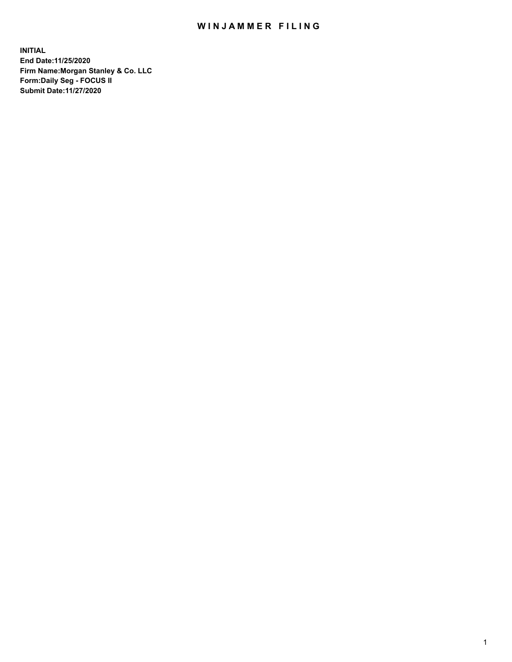## WIN JAMMER FILING

**INITIAL End Date:11/25/2020 Firm Name:Morgan Stanley & Co. LLC Form:Daily Seg - FOCUS II Submit Date:11/27/2020**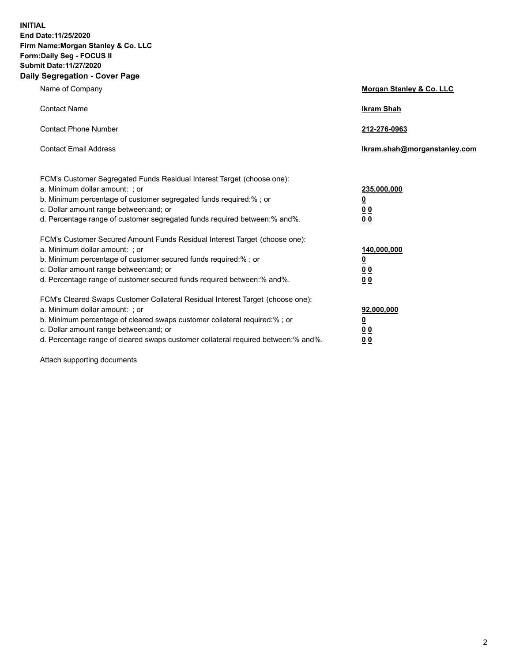**INITIAL End Date:11/25/2020 Firm Name:Morgan Stanley & Co. LLC Form:Daily Seg - FOCUS II Submit Date:11/27/2020 Daily Segregation - Cover Page**

| Name of Company                                                                                                                                                                                                                                                                                                               | Morgan Stanley & Co. LLC                               |
|-------------------------------------------------------------------------------------------------------------------------------------------------------------------------------------------------------------------------------------------------------------------------------------------------------------------------------|--------------------------------------------------------|
| <b>Contact Name</b>                                                                                                                                                                                                                                                                                                           | <b>Ikram Shah</b>                                      |
| <b>Contact Phone Number</b>                                                                                                                                                                                                                                                                                                   | 212-276-0963                                           |
| <b>Contact Email Address</b>                                                                                                                                                                                                                                                                                                  | Ikram.shah@morganstanley.com                           |
| FCM's Customer Segregated Funds Residual Interest Target (choose one):<br>a. Minimum dollar amount: ; or<br>b. Minimum percentage of customer segregated funds required:% ; or<br>c. Dollar amount range between: and; or<br>d. Percentage range of customer segregated funds required between:% and%.                        | 235,000,000<br><u>0</u><br><u>00</u><br>0 <sup>0</sup> |
| FCM's Customer Secured Amount Funds Residual Interest Target (choose one):<br>a. Minimum dollar amount: ; or<br>b. Minimum percentage of customer secured funds required:%; or<br>c. Dollar amount range between: and; or<br>d. Percentage range of customer secured funds required between:% and%.                           | 140,000,000<br><u>0</u><br><u>00</u><br>0 <sub>0</sub> |
| FCM's Cleared Swaps Customer Collateral Residual Interest Target (choose one):<br>a. Minimum dollar amount: ; or<br>b. Minimum percentage of cleared swaps customer collateral required:%; or<br>c. Dollar amount range between: and; or<br>d. Percentage range of cleared swaps customer collateral required between:% and%. | 92,000,000<br><u>0</u><br>0 Q<br>00                    |

Attach supporting documents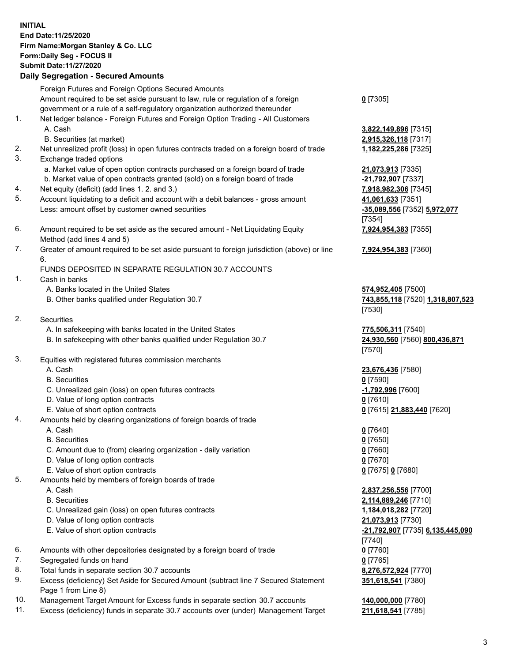## **INITIAL End Date:11/25/2020 Firm Name:Morgan Stanley & Co. LLC Form:Daily Seg - FOCUS II Submit Date:11/27/2020 Daily Segregation - Secured Amounts** Foreign Futures and Foreign Options Secured Amounts Amount required to be set aside pursuant to law, rule or regulation of a foreign government or a rule of a self-regulatory organization authorized thereunder 1. Net ledger balance - Foreign Futures and Foreign Option Trading - All Customers A. Cash **3,822,149,896** [7315] B. Securities (at market) **2,915,326,118** [7317] 2. Net unrealized profit (loss) in open futures contracts traded on a foreign board of trade **1,182,225,286** [7325] 3. Exchange traded options a. Market value of open option contracts purchased on a foreign board of trade **21,073,913** [7335] b. Market value of open contracts granted (sold) on a foreign board of trade **-21,792,907** [7337] 4. Net equity (deficit) (add lines 1. 2. and 3.) **7,918,982,306** [7345] 5. Account liquidating to a deficit and account with a debit balances - gross amount **41,061,633** [7351] Less: amount offset by customer owned securities **-35,089,556** [7352] **5,972,077** 6. Amount required to be set aside as the secured amount - Net Liquidating Equity Method (add lines 4 and 5)

7. Greater of amount required to be set aside pursuant to foreign jurisdiction (above) or line 6.

## FUNDS DEPOSITED IN SEPARATE REGULATION 30.7 ACCOUNTS

- 1. Cash in banks
	- A. Banks located in the United States **574,952,405** [7500]
	- B. Other banks qualified under Regulation 30.7 **743,855,118** [7520] **1,318,807,523**
- 2. Securities
	- A. In safekeeping with banks located in the United States **775,506,311** [7540]
	- B. In safekeeping with other banks qualified under Regulation 30.7 **24,930,560** [7560] **800,436,871**
- 3. Equities with registered futures commission merchants
	-
	- B. Securities **0** [7590]
	- C. Unrealized gain (loss) on open futures contracts **-1,792,996** [7600]
	- D. Value of long option contracts **0** [7610]
	- E. Value of short option contracts **0** [7615] **21,883,440** [7620]
- 4. Amounts held by clearing organizations of foreign boards of trade
	- A. Cash **0** [7640]
	- B. Securities **0** [7650]
	- C. Amount due to (from) clearing organization daily variation **0** [7660]
	- D. Value of long option contracts **0** [7670]
	- E. Value of short option contracts **0** [7675] **0** [7680]
- 5. Amounts held by members of foreign boards of trade
	-
	-
	- C. Unrealized gain (loss) on open futures contracts **1,184,018,282** [7720]
	- D. Value of long option contracts **21,073,913** [7730]
	-
- 6. Amounts with other depositories designated by a foreign board of trade **0** [7760]
- 7. Segregated funds on hand **0** [7765]
- 8. Total funds in separate section 30.7 accounts **8,276,572,924** [7770]
- 9. Excess (deficiency) Set Aside for Secured Amount (subtract line 7 Secured Statement Page 1 from Line 8)
- 10. Management Target Amount for Excess funds in separate section 30.7 accounts **140,000,000** [7780]
- 11. Excess (deficiency) funds in separate 30.7 accounts over (under) Management Target **211,618,541** [7785]

**0** [7305]

[7354] **7,924,954,383** [7355]

**7,924,954,383** [7360]

[7530]

[7570]

A. Cash **23,676,436** [7580]

 A. Cash **2,837,256,556** [7700] B. Securities **2,114,889,246** [7710] E. Value of short option contracts **-21,792,907** [7735] **6,135,445,090** [7740] **351,618,541** [7380]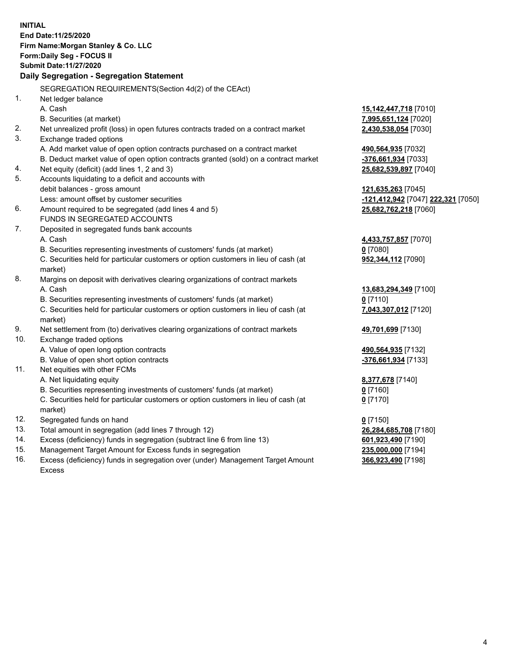|     | <b>INITIAL</b><br>End Date: 11/25/2020<br>Firm Name: Morgan Stanley & Co. LLC<br>Form: Daily Seg - FOCUS II<br>Submit Date: 11/27/2020<br>Daily Segregation - Segregation Statement |                                    |
|-----|-------------------------------------------------------------------------------------------------------------------------------------------------------------------------------------|------------------------------------|
|     | SEGREGATION REQUIREMENTS(Section 4d(2) of the CEAct)                                                                                                                                |                                    |
| 1.  | Net ledger balance                                                                                                                                                                  |                                    |
|     | A. Cash                                                                                                                                                                             | 15,142,447,718 [7010]              |
|     | B. Securities (at market)                                                                                                                                                           | 7,995,651,124 [7020]               |
| 2.  |                                                                                                                                                                                     |                                    |
| 3.  | Net unrealized profit (loss) in open futures contracts traded on a contract market<br>Exchange traded options                                                                       | 2,430,538,054 [7030]               |
|     | A. Add market value of open option contracts purchased on a contract market                                                                                                         | 490,564,935 [7032]                 |
|     | B. Deduct market value of open option contracts granted (sold) on a contract market                                                                                                 | -376,661,934 [7033]                |
| 4.  | Net equity (deficit) (add lines 1, 2 and 3)                                                                                                                                         | 25,682,539,897 [7040]              |
| 5.  | Accounts liquidating to a deficit and accounts with                                                                                                                                 |                                    |
|     | debit balances - gross amount                                                                                                                                                       | 121,635,263 [7045]                 |
|     | Less: amount offset by customer securities                                                                                                                                          | -121,412,942 [7047] 222,321 [7050] |
| 6.  | Amount required to be segregated (add lines 4 and 5)                                                                                                                                | 25,682,762,218 [7060]              |
|     | FUNDS IN SEGREGATED ACCOUNTS                                                                                                                                                        |                                    |
| 7.  | Deposited in segregated funds bank accounts                                                                                                                                         |                                    |
|     | A. Cash                                                                                                                                                                             | 4,433,757,857 [7070]               |
|     | B. Securities representing investments of customers' funds (at market)                                                                                                              | $0$ [7080]                         |
|     | C. Securities held for particular customers or option customers in lieu of cash (at<br>market)                                                                                      | 952,344,112 [7090]                 |
| 8.  | Margins on deposit with derivatives clearing organizations of contract markets                                                                                                      |                                    |
|     | A. Cash                                                                                                                                                                             | 13,683,294,349 [7100]              |
|     | B. Securities representing investments of customers' funds (at market)                                                                                                              | $0$ [7110]                         |
|     | C. Securities held for particular customers or option customers in lieu of cash (at<br>market)                                                                                      | 7,043,307,012 [7120]               |
| 9.  | Net settlement from (to) derivatives clearing organizations of contract markets                                                                                                     | 49,701,699 [7130]                  |
| 10. | Exchange traded options                                                                                                                                                             |                                    |
|     | A. Value of open long option contracts                                                                                                                                              | 490,564,935 [7132]                 |
|     | B. Value of open short option contracts                                                                                                                                             | -376,661,934 [7133]                |
| 11. | Net equities with other FCMs                                                                                                                                                        |                                    |
|     | A. Net liquidating equity                                                                                                                                                           | 8,377,678 [7140]                   |
|     | B. Securities representing investments of customers' funds (at market)                                                                                                              | 0 <sup>[7160]</sup>                |
|     | C. Securities held for particular customers or option customers in lieu of cash (at<br>market)                                                                                      | $0$ [7170]                         |
| 12. | Segregated funds on hand                                                                                                                                                            | $0$ [7150]                         |
| 13. | Total amount in segregation (add lines 7 through 12)                                                                                                                                | 26,284,685,708 [7180]              |
| 14. | Excess (deficiency) funds in segregation (subtract line 6 from line 13)                                                                                                             | 601,923,490 [7190]                 |
| 15. | Management Target Amount for Excess funds in segregation                                                                                                                            | 235,000,000 [7194]                 |
| 16. | Excess (deficiency) funds in segregation over (under) Management Target Amount                                                                                                      | 366,923,490 [7198]                 |

16. Excess (deficiency) funds in segregation over (under) Management Target Amount Excess